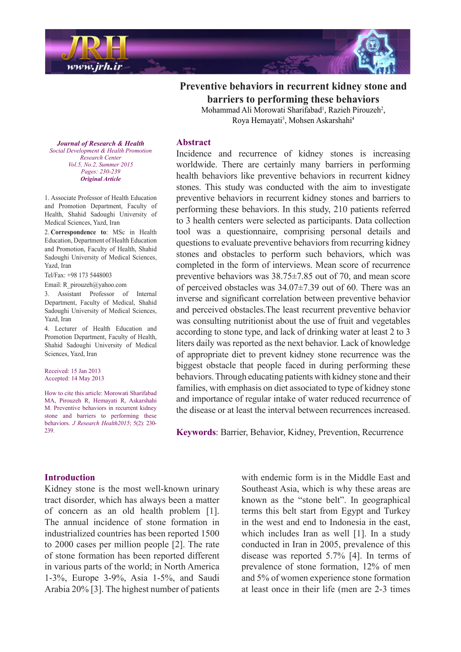

**Preventive behaviors in recurrent kidney stone and barriers to performing these behaviors** Mohammad Ali Morowati Sharifabad<sup>1</sup>, Razieh Pirouzeh<sup>2</sup>,

Roya Hemayati<sup>3</sup>, Mohsen Askarshahi<sup>4</sup>

**Journal of Research & Health**  *Promotion Health & Development Social Center Research Vol.5, No.2, Summer 2015* Pages: 230-239 *Article Original*

1. Associate Professor of Health Education and Promotion Department, Faculty of Health, Shahid Sadoughi University of Medical Sciences, Yazd, Iran

2. Correspondence to: MSc in Health Education, Department of Health Education and Promotion, Faculty of Health, Shahid Sadoughi University of Medical Sciences, Yazd, Iran

Tel/Fax: +98 173 5448003

Email: R pirouzeh $@$  vahoo.com

3. Assistant Professor of Internal Department, Faculty of Medical, Shahid Sadoughi University of Medical Sciences. Yazd, Iran

4. Lecturer of Health Education and Promotion Department, Faculty of Health. Shahid Sadoughi University of Medical Sciences, Yazd, Iran

Received: 15 Jan 2013 Accepted: 14 May 2013

How to cite this article: Morowati Sharifabad MA, Pirouzeh R, Hemayati R, Askarshahi M. Preventive behaviors in recurrent kidney stone and barriers to performing these behaviors. *J Research Health 2015*; 5(2): 230-239

#### **Abstract**

Incidence and recurrence of kidney stones is increasing worldwide. There are certainly many barriers in performing health behaviors like preventive behaviors in recurrent kidney stones. This study was conducted with the aim to investigate preventive behaviors in recurrent kidney stones and barriers to performing these behaviors. In this study, 210 patients referred to 3 health centers were selected as participants. Data collection tool was a questionnaire, comprising personal details and questions to evaluate preventive behaviors from recurring kidney stones and obstacles to perform such behaviors, which was completed in the form of interviews. Mean score of recurrence preventive behaviors was  $38.75 \pm 7.85$  out of 70, and mean score of perceived obstacles was  $34.07\pm7.39$  out of 60. There was an inverse and significant correlation between preventive behavior and perceived obstacles. The least recurrent preventive behavior was consulting nutritionist about the use of fruit and vegetables according to stone type, and lack of drinking water at least 2 to 3 liters daily was reported as the next behavior. Lack of knowledge of appropriate diet to prevent kidney stone recurrence was the biggest obstacle that people faced in during performing these behaviors. Through educating patients with kidney stone and their families, with emphasis on diet associated to type of kidney stone and importance of regular intake of water reduced recurrence of the disease or at least the interval between recurrences increased

Keywords: Barrier, Behavior, Kidney, Prevention, Recurrence

#### **Introduction**

Kidney stone is the most well-known urinary tract disorder, which has always been a matter of concern as an old health problem  $[1]$ . The annual incidence of stone formation in industrialized countries has been reported 1500 to  $2000$  cases per million people [2]. The rate of stone formation has been reported different in various parts of the world; in North America 1-3%, Europe 3-9%, Asia 1-5%, and Saudi Arabia  $20\%$  [3]. The highest number of patients with endemic form is in the Middle East and Southeast Asia, which is why these areas are known as the "stone belt". In geographical terms this belt start from Egypt and Turkey in the west and end to Indonesia in the east, which includes Iran as well  $[1]$ . In a study conducted in Iran in 2005, prevalence of this disease was reported  $5.7\%$  [4]. In terms of prevalence of stone formation.  $12\%$  of men and 5% of women experience stone formation at least once in their life (men are 2-3 times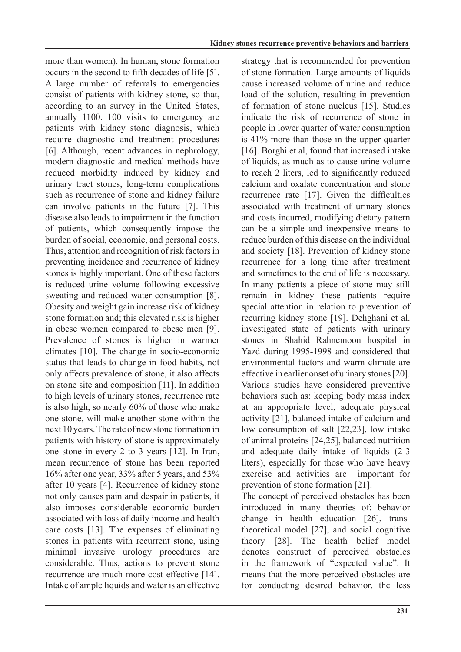more than women). In human, stone formation occurs in the second to fifth decades of life [5]. A large number of referrals to emergencies consist of patients with kidney stone, so that, according to an survey in the United States, annually  $1100$ .  $100$  visits to emergency are patients with kidney stone diagnosis, which require diagnostic and treatment procedures [6]. Although, recent advances in nephrology, modern diagnostic and medical methods have reduced morbidity induced by kidney and urinary tract stones, long-term complications such as recurrence of stone and kidney failure can involve patients in the future [7]. This disease also leads to impairment in the function of patients, which consequently impose the burden of social, economic, and personal costs. Thus, attention and recognition of risk factors in preventing incidence and recurrence of kidney stones is highly important. One of these factors is reduced urine volume following excessive sweating and reduced water consumption [8]. Obesity and weight gain increase risk of kidney stone formation and; this elevated risk is higher in obese women compared to obese men [9]. Prevalence of stones is higher in warmer climates  $[10]$ . The change in socio-economic status that leads to change in food habits, not only affects prevalence of stone, it also affects on stone site and composition  $[11]$ . In addition to high levels of urinary stones, recurrence rate is also high, so nearly  $60\%$  of those who make one stone, will make another stone within the next 10 years. The rate of new stone formation in patients with history of stone is approximately one stone in every 2 to 3 years  $[12]$ . In Iran, mean recurrence of stone has been reported  $16\%$  after one year, 33% after 5 years, and 53% after 10 years [4]. Recurrence of kidney stone not only causes pain and despair in patients, it also imposes considerable economic burden associated with loss of daily income and health care costs  $[13]$ . The expenses of eliminating stones in patients with recurrent stone, using minimal invasive urology procedures are considerable. Thus, actions to prevent stone recurrence are much more cost effective [14]. Intake of ample liquids and water is an effective strategy that is recommended for prevention of stone formation. Large amounts of liquids cause increased volume of urine and reduce load of the solution, resulting in prevention of formation of stone nucleus [15]. Studies indicate the risk of recurrence of stone in people in lower quarter of water consumption is  $41\%$  more than those in the upper quarter  $[16]$ . Borghi et al, found that increased intake of liquids, as much as to cause urine volume to reach 2 liters, led to significantly reduced calcium and oxalate concentration and stone recurrence rate  $[17]$ . Given the difficulties associated with treatment of urinary stones and costs incurred, modifying dietary pattern can be a simple and inexpensive means to reduce burden of this disease on the individual and society [18]. Prevention of kidney stone recurrence for a long time after treatment and sometimes to the end of life is necessary. In many patients a piece of stone may still remain in kidney these patients require special attention in relation to prevention of recurring kidney stone [19]. Dehghani et al. investigated state of patients with urinary stones in Shahid Rahnemoon hospital in Yazd during 1995-1998 and considered that environmental factors and warm climate are effective in earlier onset of urinary stones  $[20]$ . Various studies have considered preventive behaviors such as: keeping body mass index at an appropriate level, adequate physical activity [21], balanced intake of calcium and low consumption of salt  $[22,23]$ , low intake of animal proteins  $[24,25]$ , balanced nutrition and adequate daily intake of liquids  $(2-3)$ liters), especially for those who have heavy exercise and activities are important for prevention of stone formation  $[21]$ .

The concept of perceived obstacles has been introduced in many theories of: behavior theoretical model  $[27]$ , and social cognitive change in health education  $[26]$ , transtheory [28]. The health belief model denotes construct of perceived obstacles in the framework of "expected value". It means that the more perceived obstacles are for conducting desired behavior, the less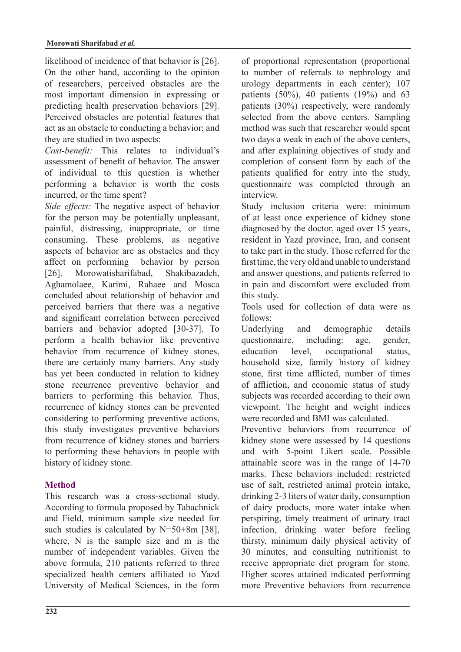likelihood of incidence of that behavior is  $[26]$ . On the other hand, according to the opinion of researchers, perceived obstacles are the most important dimension in expressing or predicting health preservation behaviors [29]. Perceived obstacles are potential features that act as an obstacle to conducting a behavior; and they are studied in two aspects:

Cost-benefit: This *relates* to individual's assessment of benefit of behavior. The answer of individual to this question is whether performing a behavior is worth the costs incurred, or the time spent?

Side effects: The *negative* aspect of behavior for the person may be potentially unpleasant, painful, distressing, inappropriate, or time consuming. These problems, as negative aspects of behavior are as obstacles and they affect on performing behavior by person [26]. Morowatisharifabad, Shakibazadeh, Aghamolaee, Karimi, Rahaee and Mosca concluded about relationship of behavior and perceived barriers that there was a negative and significant correlation between perceived barriers and behavior adopted [30-37]. To perform a health behavior like preventive behavior from recurrence of kidney stones, there are certainly many barriers. Any study has vet been conducted in relation to kidney stone recurrence preventive behavior and barriers to performing this behavior. Thus, recurrence of kidney stones can be prevented considering to performing preventive actions, this study investigates preventive behaviors from recurrence of kidney stones and barriers to performing these behaviors in people with history of kidney stone.

# **Method**

This research was a cross-sectional study. According to formula proposed by Tabachnick and Field, minimum sample size needed for such studies is calculated by  $N=50+8m$  [38]. where,  $N$  is the sample size and  $m$  is the number of independent variables. Given the above formula, 210 patients referred to three specialized health centers affiliated to Yazd University of Medical Sciences, in the form of proportional representation (proportional to number of referrals to nephrology and urology departments in each center);  $107$ patients  $(50\%)$ , 40 patients  $(19\%)$  and 63 patients  $(30\%)$  respectively, were randomly selected from the above centers. Sampling method was such that researcher would spent two days a weak in each of the above centers. and after explaining objectives of study and completion of consent form by each of the patients qualified for entry into the study, questionnaire was completed through an .interview

Study inclusion criteria were: minimum of at least once experience of kidney stone diagnosed by the doctor, aged over 15 years, resident in Yazd province, Iran, and consent to take part in the study. Those referred for the first time, the very old and unable to understand and answer questions, and patients referred to in pain and discomfort were excluded from this study.

Tools used for collection of data were as :follows

Underlying and demographic details questionnaire, including age, gender, education level, occupational status, household size, family history of kidney stone, first time afflicted, number of times of affliction, and economic status of study subjects was recorded according to their own viewpoint. The height and weight indices were recorded and BMI was calculated

Preventive behaviors from recurrence of kidney stone were assessed by 14 questions and with 5-point Likert scale. Possible attainable score was in the range of  $14-70$ marks. These behaviors included: restricted use of salt, restricted animal protein intake,  $drinking 2-3 liters of water daily, consumption$ of dairy products, more water intake when perspiring, timely treatment of urinary tract infection, drinking water before feeling thirsty, minimum daily physical activity of 30 minutes, and consulting nutritionist to receive appropriate diet program for stone. Higher scores attained indicated performing more Preventive behaviors from recurrence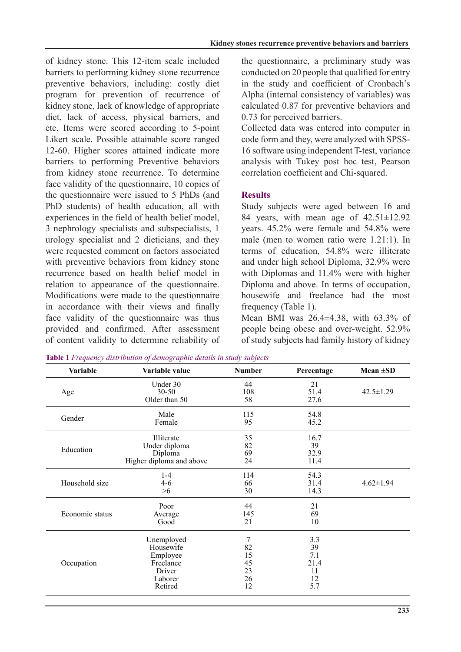of kidney stone. This 12-item scale included barriers to performing kidney stone recurrence preventive behaviors, including: costly diet program for prevention of recurrence of kidney stone, lack of knowledge of appropriate diet, lack of access, physical barriers, and etc. Items were scored according to 5-point Likert scale. Possible attainable score ranged 12-60. Higher scores attained indicate more barriers to performing Preventive behaviors from kidney stone recurrence. To determine face validity of the questionnaire, 10 copies of the questionnaire were issued to 5 PhDs (and PhD students) of health education, all with experiences in the field of health belief model. 3 nephrology specialists and subspecialists, 1 urology specialist and 2 dieticians, and they were requested comment on factors associated with preventive behaviors from kidney stone recurrence based on health belief model in relation to appearance of the questionnaire. Modifications were made to the questionnaire in accordance with their views and finally face validity of the questionnaire was thus provided and confirmed. After assessment of content validity to determine reliability of the questionnaire, a preliminary study was conducted on 20 people that qualified for entry in the study and coefficient of Cronbach's Alpha (internal consistency of variables) was calculated 0.87 for preventive behaviors and 0.73 for perceived barriers.

Collected data was entered into computer in code form and they, were analyzed with SPSS-<br>16 software using independent T-test, variance analysis with Tukey post hoc test, Pearson correlation coefficient and Chi-squared.

# **Results**

Study subjects were aged between 16 and 84 years, with mean age of  $42.51 \pm 12.92$ vears.  $45.2\%$  were female and  $54.8\%$  were male (men to women ratio were  $1.21:1$ ). In terms of education,  $54.8\%$  were illiterate and under high school Diploma, 32.9% were with Diplomas and  $11.4\%$  were with higher Diploma and above. In terms of occupation. housewife and freelance had the most frequency (Table 1).

Mean BMI was  $26.4 \pm 4.38$ , with  $63.3\%$  of people being obese and over-weight. 52.9% of study subjects had family history of kidney

| <b>Variable</b> | Variable value           | <b>Number</b> | Percentage | Mean $\pm SD$   |
|-----------------|--------------------------|---------------|------------|-----------------|
|                 | Under 30                 | 44            | 21         |                 |
| Age             | $30 - 50$                | 108           | 51.4       | $42.5 \pm 1.29$ |
|                 | Older than 50            | 58            | 27.6       |                 |
|                 | Male                     | 115           | 54.8       |                 |
| Gender          | Female                   | 95            | 45.2       |                 |
|                 | Illiterate               | 35            | 16.7       |                 |
|                 | Under diploma            | 82            | 39         |                 |
| Education       | Diploma                  | 69            | 32.9       |                 |
|                 | Higher diploma and above | 24            | 11.4       |                 |
|                 | $1 - 4$                  | 114           | 54.3       |                 |
| Household size  | $4-6$                    | 66            | 31.4       | $4.62 \pm 1.94$ |
|                 | >6                       | 30            | 14.3       |                 |
|                 | Poor                     | 44            | 21         |                 |
| Economic status | Average                  | 145           | 69         |                 |
|                 | Good                     | 21            | 10         |                 |
|                 | Unemployed               | 7             | 3.3        |                 |
|                 | Housewife                | 82            | 39         |                 |
|                 | Employee                 | 15            | 7.1        |                 |
| Occupation      | Freelance                | 45            | 21.4       |                 |
|                 | Driver                   | 23            | 11         |                 |
|                 | Laborer                  | 26            | 12         |                 |
|                 | Retired                  | 12            | 5.7        |                 |

Table 1 Frequency distribution of demographic details in study subjects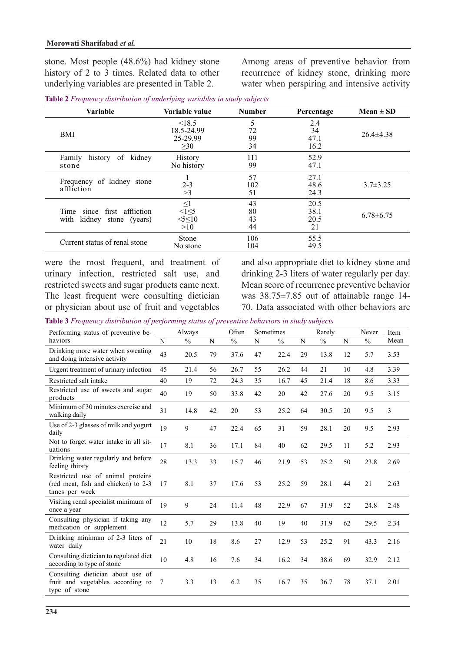stone. Most people  $(48.6\%)$  had kidney stone history of 2 to 3 times. Related data to other underlying variables are presented in Table 2.

Among areas of preventive behavior from recurrence of kidney stone, drinking more water when perspiring and intensive activity

| Table 2 Frequency distribution of underlying variables in study subjects |  |  |
|--------------------------------------------------------------------------|--|--|
|                                                                          |  |  |

| <b>Variable</b>                                                   | Variable value                                    | <b>Number</b>        | Percentage                 | $Mean \pm SD$   |
|-------------------------------------------------------------------|---------------------------------------------------|----------------------|----------------------------|-----------------|
| <b>BMI</b>                                                        | < 18.5<br>18.5-24.99<br>25-29.99<br>>30           | 5<br>72<br>99<br>34  | 2.4<br>34<br>47.1<br>16.2  | $26.4 \pm 4.38$ |
| of kidney<br>Family<br>history<br>stone                           | History<br>No history                             | 111<br>99            | 52.9<br>47.1               |                 |
| of kidney stone<br>Frequency<br>affliction                        | $2-3$<br>>3                                       | 57<br>102<br>51      | 27.1<br>48.6<br>24.3       | $3.7 \pm 3.25$  |
| since first affliction<br>Time<br>kidnev<br>with<br>stone (years) | $\leq 1$<br>$\leq 1 \leq 5$<br>$55 \le 10$<br>>10 | 43<br>80<br>43<br>44 | 20.5<br>38.1<br>20.5<br>21 | $6.78\pm 6.75$  |
| Current status of renal stone                                     | Stone<br>No stone                                 | 106<br>104           | 55.5<br>49.5               |                 |

were the most frequent, and treatment of urinary infection, restricted salt use, and restricted sweets and sugar products came next. The least frequent were consulting dietician or physician about use of fruit and vegetables

and also appropriate diet to kidney stone and drinking  $2-3$  liters of water regularly per day. Mean score of recurrence preventive behavior was  $38.75\pm7.85$  out of attainable range 14-70. Data associated with other behaviors are

**Table 3** Frequency distribution of performing status of preventive behaviors in study subjects

| Performing status of preventive be-                                                        |    | Always |    | Often |    | Sometimes |    | Rarely |    | Never         | Item |
|--------------------------------------------------------------------------------------------|----|--------|----|-------|----|-----------|----|--------|----|---------------|------|
| haviors                                                                                    | N  | $\%$   | N  | $\%$  | N  | $\%$      | N  | $\%$   | N  | $\frac{0}{0}$ | Mean |
| Drinking more water when sweating<br>and doing intensive activity                          | 43 | 20.5   | 79 | 37.6  | 47 | 22.4      | 29 | 13.8   | 12 | 5.7           | 3.53 |
| Urgent treatment of urinary infection                                                      | 45 | 21.4   | 56 | 26.7  | 55 | 26.2      | 44 | 21     | 10 | 4.8           | 3.39 |
| Restricted salt intake                                                                     | 40 | 19     | 72 | 24.3  | 35 | 16.7      | 45 | 21.4   | 18 | 8.6           | 3.33 |
| Restricted use of sweets and sugar<br>products                                             | 40 | 19     | 50 | 33.8  | 42 | 20        | 42 | 27.6   | 20 | 9.5           | 3.15 |
| Minimum of 30 minutes exercise and<br>walking daily                                        | 31 | 14.8   | 42 | 20    | 53 | 25.2      | 64 | 30.5   | 20 | 9.5           | 3    |
| Use of 2-3 glasses of milk and yogurt<br>daily                                             | 19 | 9      | 47 | 22.4  | 65 | 31        | 59 | 28.1   | 20 | 9.5           | 2.93 |
| Not to forget water intake in all sit-<br>uations                                          | 17 | 8.1    | 36 | 17.1  | 84 | 40        | 62 | 29.5   | 11 | 5.2           | 2.93 |
| Drinking water regularly and before<br>feeling thirsty                                     | 28 | 13.3   | 33 | 15.7  | 46 | 21.9      | 53 | 25.2   | 50 | 23.8          | 2.69 |
| Restricted use of animal proteins<br>(red meat, fish and chicken) to 2-3<br>times per week | 17 | 8.1    | 37 | 17.6  | 53 | 25.2      | 59 | 28.1   | 44 | 21            | 2.63 |
| Visiting renal specialist minimum of<br>once a year                                        | 19 | 9      | 24 | 11.4  | 48 | 22.9      | 67 | 31.9   | 52 | 24.8          | 2.48 |
| Consulting physician if taking any<br>medication or supplement                             | 12 | 5.7    | 29 | 13.8  | 40 | 19        | 40 | 31.9   | 62 | 29.5          | 2.34 |
| Drinking minimum of 2-3 liters of<br>water daily                                           | 21 | 10     | 18 | 8.6   | 27 | 12.9      | 53 | 25.2   | 91 | 43.3          | 2.16 |
| Consulting dietician to regulated diet<br>according to type of stone                       | 10 | 4.8    | 16 | 7.6   | 34 | 16.2      | 34 | 38.6   | 69 | 32.9          | 2.12 |
| Consulting dietician about use of<br>fruit and vegetables according to<br>type of stone    | 7  | 3.3    | 13 | 6.2   | 35 | 16.7      | 35 | 36.7   | 78 | 37.1          | 2.01 |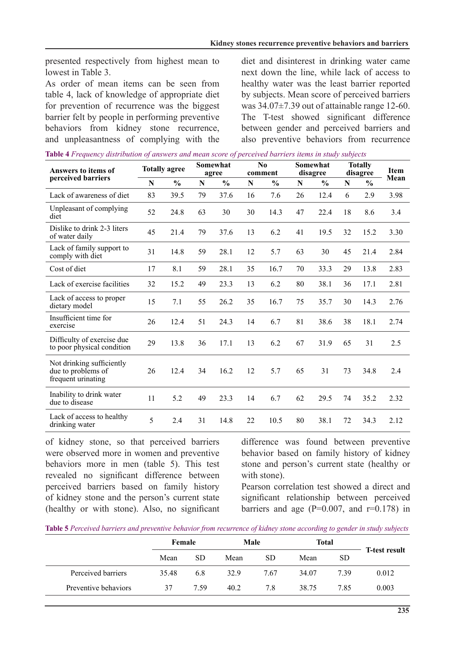presented respectively from highest mean to lowest in Table 3

As order of mean items can be seen from table 4, lack of knowledge of appropriate diet for prevention of recurrence was the biggest barrier felt by people in performing preventive behaviors from kidney stone recurrence, and unpleasantness of complying with the diet and disinterest in drinking water came next down the line, while lack of access to healthy water was the least barrier reported by subjects. Mean score of perceived barriers was  $34.07\pm7.39$  out of attainable range 12-60. The T-test showed significant difference between gender and perceived barriers and also preventive behaviors from recurrence

|  | Table 4 Frequency distribution of answers and mean score of perceived barriers items in study subjects |  |  |  |
|--|--------------------------------------------------------------------------------------------------------|--|--|--|
|  |                                                                                                        |  |  |  |

| Answers to items of                                                   | <b>Totally agree</b> |               | Somewhat<br>agree |               | $\bf No$<br>comment |               | Somewhat<br>disagree |               | <b>Totally</b><br>disagree |               | Item |
|-----------------------------------------------------------------------|----------------------|---------------|-------------------|---------------|---------------------|---------------|----------------------|---------------|----------------------------|---------------|------|
| perceived barriers                                                    | N                    | $\frac{0}{0}$ | $\mathbf N$       | $\frac{0}{0}$ | ${\bf N}$           | $\frac{0}{0}$ | ${\bf N}$            | $\frac{0}{0}$ | ${\bf N}$                  | $\frac{0}{0}$ | Mean |
| Lack of awareness of diet                                             | 83                   | 39.5          | 79                | 37.6          | 16                  | 7.6           | 26                   | 12.4          | 6                          | 2.9           | 3.98 |
| Unpleasant of complying<br>diet                                       | 52                   | 24.8          | 63                | 30            | 30                  | 14.3          | 47                   | 22.4          | 18                         | 8.6           | 3.4  |
| Dislike to drink 2-3 liters<br>of water daily                         | 45                   | 21.4          | 79                | 37.6          | 13                  | 6.2           | 41                   | 19.5          | 32                         | 15.2          | 3.30 |
| Lack of family support to<br>comply with diet                         | 31                   | 14.8          | 59                | 28.1          | 12                  | 5.7           | 63                   | 30            | 45                         | 21.4          | 2.84 |
| Cost of diet                                                          | 17                   | 8.1           | 59                | 28.1          | 35                  | 16.7          | 70                   | 33.3          | 29                         | 13.8          | 2.83 |
| Lack of exercise facilities                                           | 32                   | 15.2          | 49                | 23.3          | 13                  | 6.2           | 80                   | 38.1          | 36                         | 17.1          | 2.81 |
| Lack of access to proper<br>dietary model                             | 15                   | 7.1           | 55                | 26.2          | 35                  | 16.7          | 75                   | 35.7          | 30                         | 14.3          | 2.76 |
| Insufficient time for<br>exercise                                     | 26                   | 12.4          | 51                | 24.3          | 14                  | 6.7           | 81                   | 38.6          | 38                         | 18.1          | 2.74 |
| Difficulty of exercise due<br>to poor physical condition              | 29                   | 13.8          | 36                | 17.1          | 13                  | 6.2           | 67                   | 31.9          | 65                         | 31            | 2.5  |
| Not drinking sufficiently<br>due to problems of<br>frequent urinating | 26                   | 12.4          | 34                | 16.2          | 12                  | 5.7           | 65                   | 31            | 73                         | 34.8          | 2.4  |
| Inability to drink water<br>due to disease                            | 11                   | 5.2           | 49                | 23.3          | 14                  | 6.7           | 62                   | 29.5          | 74                         | 35.2          | 2.32 |
| Lack of access to healthy<br>drinking water                           | 5                    | 2.4           | 31                | 14.8          | 22                  | 10.5          | 80                   | 38.1          | 72                         | 34.3          | 2.12 |

of kidney stone, so that perceived barriers were observed more in women and preventive behaviors more in men (table 5). This test revealed no significant difference between perceived barriers based on family history of kidney stone and the person's current state  $($ healthy or with stone). Also, no significant difference was found between preventive behavior based on family history of kidney stone and person's current state (healthy or with stone).

Pearson correlation test showed a direct and significant relationship between perceived barriers and age ( $P = 0.007$ , and  $r = 0.178$ ) in

**Table 5** Perceived barriers and preventive behavior from recurrence of kidney stone according to gender in study subjects

|                      | Female |      | Male |           | Total | <b>T-test result</b> |       |
|----------------------|--------|------|------|-----------|-------|----------------------|-------|
|                      | Mean   | SD   | Mean | <b>SD</b> | Mean  | <b>SD</b>            |       |
| Perceived barriers   | 35.48  | 6.8  | 32.9 | 767       | 34.07 | 739                  | 0.012 |
| Preventive behaviors | 37     | 7.59 | 40.2 | 7.8       | 38.75 | 7.85                 | 0.003 |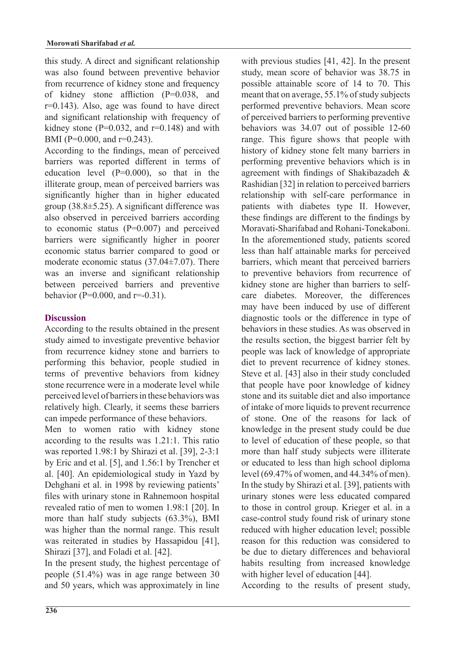this study. A direct and significant relationship was also found between preventive behavior from recurrence of kidney stone and frequency of kidney stone affliction  $(P=0.038,$  and  $r=0.143$ ). Also, age was found to have direct and significant relationship with frequency of kidney stone ( $P=0.032$ , and  $r=0.148$ ) and with BMI (P= $0.000$ , and r= $0.243$ ).

According to the findings, mean of perceived barriers was reported different in terms of education level  $(P=0.000)$ , so that in the illiterate group, mean of perceived barriers was significantly higher than in higher educated group  $(38.8±5.25)$ . A significant difference was also observed in perceived barriers according to economic status  $(P=0.007)$  and perceived barriers were significantly higher in poorer economic status barrier compared to good or moderate economic status  $(37.04\pm7.07)$ . There was an inverse and significant relationship between perceived barriers and preventive behavior (P=0.000, and  $r = -0.31$ ).

#### **Discussion**

According to the results obtained in the present study aimed to investigate preventive behavior from recurrence kidney stone and barriers to performing this behavior, people studied in terms of preventive behaviors from kidney stone recurrence were in a moderate level while perceived level of barriers in these behaviors was relatively high. Clearly, it seems these barriers can impede performance of these behaviors.

Men to women ratio with kidney stone according to the results was  $1.21:1$ . This ratio was reported  $1.98:1$  by Shirazi et al. [39],  $2-3:1$ by Eric and et al.  $[5]$ , and  $1.56:1$  by Trencher et al. [40]. An epidemiological study in Yazd by Dehghani et al. in 1998 by reviewing patients' files with urinary stone in Rahnemoon hospital revealed ratio of men to women 1.98:1 [20]. In more than half study subjects  $(63.3\%)$ , BMI was higher than the normal range. This result was reiterated in studies by Hassapidou [41], Shirazi [37], and Foladi et al. [42].

In the present study, the highest percentage of people  $(51.4\%)$  was in age range between 30 and 50 years, which was approximately in line with previous studies  $[41, 42]$ . In the present study, mean score of behavior was 38.75 in possible attainable score of 14 to 70. This meant that on average,  $55.1\%$  of study subjects performed preventive behaviors. Mean score of perceived barriers to performing preventive behaviors was  $34.07$  out of possible 12-60 range. This figure shows that people with history of kidney stone felt many barriers in performing preventive behaviors which is in agreement with findings of Shakibazadeh  $\&$ Rashidian [32] in relation to perceived barriers relationship with self-care performance in patients with diabetes type II. However, these findings are different to the findings by Moravati-Sharifabad and Rohani-Tonekaboni In the aforementioned study, patients scored less than half attainable marks for perceived barriers, which meant that perceived barriers to preventive behaviors from recurrence of care diabetes. Moreover, the differences kidney stone are higher than barriers to selfmay have been induced by use of different diagnostic tools or the difference in type of behaviors in these studies. As was observed in the results section, the biggest barrier felt by people was lack of knowledge of appropriate diet to prevent recurrence of kidney stones. Steve et al. [43] also in their study concluded that people have poor knowledge of kidney stone and its suitable diet and also importance of intake of more liquids to prevent recurrence of stone. One of the reasons for lack of knowledge in the present study could be due to level of education of these people, so that more than half study subjects were illiterate or educated to less than high school diploma level  $(69.47\%$  of women, and  $44.34\%$  of men). In the study by Shirazi et al. [39], patients with urinary stones were less educated compared to those in control group. Krieger et al. in a case-control study found risk of urinary stone reduced with higher education level: possible reason for this reduction was considered to be due to dietary differences and behavioral habits resulting from increased knowledge with higher level of education  $[44]$ .

According to the results of present study,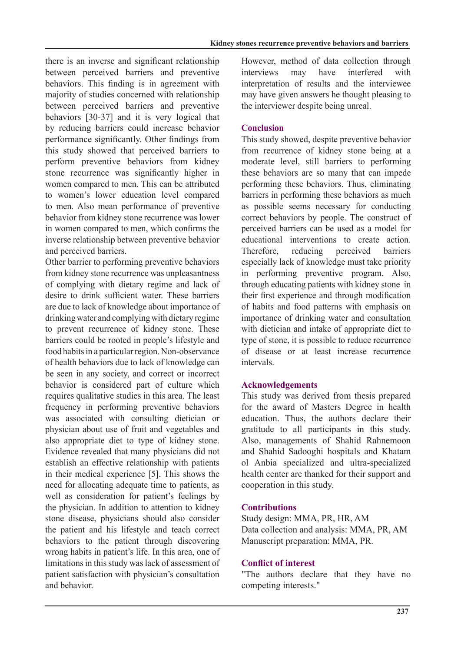there is an inverse and significant relationship between perceived barriers and preventive behaviors. This finding is in agreement with majority of studies concerned with relationship between perceived barriers and preventive behaviors  $[30-37]$  and it is very logical that by reducing barriers could increase behavior performance significantly. Other findings from this study showed that perceived barriers to perform preventive behaviors from kidney stone recurrence was significantly higher in women compared to men. This can be attributed to women's lower education level compared to men. Also mean performance of preventive behavior from kidney stone recurrence was lower in women compared to men, which confirms the inverse relationship between preventive behavior and nerceived barriers

Other barrier to performing preventive behaviors from kidney stone recurrence was unpleasantness of complying with dietary regime and lack of desire to drink sufficient water. These barriers are due to lack of knowledge about importance of drinking water and complying with dietary regime to prevent recurrence of kidney stone. These barriers could be rooted in people's lifestyle and food habits in a particular region. Non-observance of health behaviors due to lack of knowledge can be seen in any society, and correct or incorrect behavior is considered part of culture which requires qualitative studies in this area. The least frequency in performing preventive behaviors was associated with consulting dietician or physician about use of fruit and vegetables and also appropriate diet to type of kidney stone. Evidence revealed that many physicians did not establish an effective relationship with patients in their medical experience  $[5]$ . This shows the need for allocating adequate time to patients, as well as consideration for patient's feelings by the physician. In addition to attention to kidney stone disease, physicians should also consider the patient and his lifestyle and teach correct behaviors to the patient through discovering wrong habits in patient's life. In this area, one of limitations in this study was lack of assessment of patient satisfaction with physician's consultation and behavior

However, method of data collection through interviews may have interfered with interpretation of results and the interviewee may have given answers he thought pleasing to the interviewer despite being unreal.

# **Conclusion**

This study showed, despite preventive behavior from recurrence of kidney stone being at a moderate level, still barriers to performing these behaviors are so many that can impede performing these behaviors. Thus, eliminating barriers in performing these behaviors as much as possible seems necessary for conducting correct behaviors by people. The construct of perceived barriers can be used as a model for educational interventions to create action. Therefore reducing perceived barriers especially lack of knowledge must take priority in performing preventive program. Also, through educating patients with kidney stone in their first experience and through modification of habits and food patterns with emphasis on importance of drinking water and consultation with dietician and intake of appropriate diet to type of stone, it is possible to reduce recurrence of disease or at least increase recurrence .intervals

# **Acknowledgements**

This study was derived from thesis prepared for the award of Masters Degree in health education. Thus, the authors declare their gratitude to all participants in this study. Also, managements of Shahid Rahnemoon and Shahid Sadooghi hospitals and Khatam ol Anbia specialized and ultra-specialized health center are thanked for their support and cooperation in this study.

# **Contributions**

Study design: MMA, PR, HR, AM Data collection and analysis: MMA, PR, AM Manuscript preparation: MMA, PR.

# **Conflict of interest**

"The authors declare that they have no competing interests."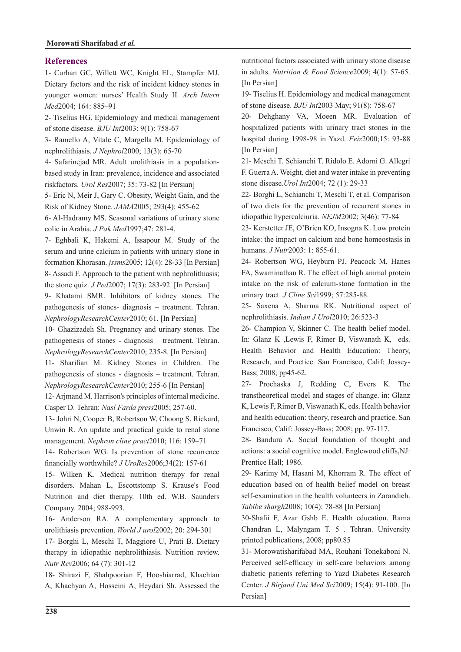#### **References**

1- Curhan GC, Willett WC, Knight EL, Stampfer MJ. Dietary factors and the risk of incident kidney stones in younger women: nurses' Health Study II. Arch Intern Med<sub>2004</sub>; 164: 885-91

2- Tiselius HG. Epidemiology and medical management of stone disease. *BJU Int* 2003: 9(1): 758-67

3- Ramello A, Vitale C, Margella M. Epidemiology of nephrolithiasis. *J Nephrol* 2000; 13(3): 65-70

based study in Iran: prevalence, incidence and associated 4- Safarinejad MR. Adult urolithiasis in a populationriskfactors. *Urol Res* 2007; 35: 73-82 [In Persian]

5- Eric N, Meir J, Gary C. Obesity, Weight Gain, and the Risk of Kidney Stone. JAMA2005; 293(4): 455-62

6- Al-Hadramy MS. Seasonal variations of urinary stone colic in Arabia. *J Pak Med* 1997;47: 281-4.

7- Eghbali K, Hakemi A, Issapour M. Study of the serum and urine calcium in patients with urinary stone in formation Khorasan. *jssms* 2005; 12(4): 28-33 [In Persian] 8- Assadi F. Approach to the patient with nephrolithiasis.

the stone quiz. *J Ped* 2007; 17(3): 283-92. [In Persian] 9- Khatami SMR. Inhibitors of kidney stones. The

pathogenesis of stones- diagnosis – treatment. Tehran.  $NephrologyResearchCenter2010; 61.$  [In Persian]

10- Ghazizadeh Sh. Pregnancy and urinary stones. The pathogenesis of stones - diagnosis - treatment. Tehran.  $NephrologyResearchCenter2010; 235-8.$  [In Persian]

11- Sharifian M. Kidney Stones in Children. The pathogenesis of stones - diagnosis – treatment. Tehran.  $NephrologyResearchCenter2010; 255-6$  [In Persian]

12-Arjmand M. Harrison's principles of internal medicine. Casper D. Tehran: Nasl Farda press2005; 257-60.

13- Johri N, Cooper B, Robertson W, Choong S, Rickard, Unwin R. An update and practical guide to renal stone management. Nephron cline pract 2010; 116: 159-71

14- Robertson WG. Is prevention of stone recurrence financially worthwhile?  $J$   $UroRes2006:34(2)$ : 157-61

15- Wilken K. Medical nutrition therapy for renal disorders. Mahan L, Escottstomp S. Krause's Food Nutrition and diet therapy. 10th ed. W.B. Saunders Company. 2004; 988-993.

16- Anderson RA. A complementary approach to urolithiasis prevention. *World J urol* 2002; 20: 294-301

17- Borghi L, Meschi T, Maggiore U, Prati B. Dietary therapy in idiopathic nephrolithiasis. Nutrition review. Nutr Rev 2006; 64 (7): 301-12

18- Shirazi F, Shahpoorian F, Hooshiarrad, Khachian A, Khachyan A, Hosseini A, Heydari Sh. Assessed the nutritional factors associated with urinary stone disease in adults. Nutrition & Food Science 2009; 4(1): 57-65. [In Persian]

19- Tiselius H. Epidemiology and medical management of stone disease. *BJU Int* 2003 May; 91(8): 758-67

20- Dehghany VA, Moeen MR. Evaluation of hospitalized patients with urinary tract stones in the hospital during 1998-98 in Yazd. Feiz2000;15: 93-88 [In Persian]

21 - Meschi T. Schianchi T. Ridolo E. Adorni G. Allegri F. Guerra A. Weight, diet and water intake in preventing stone disease.*Urol Int* 2004; 72 (1): 29-33

22- Borghi L, Schianchi T, Meschi T, et al. Comparison of two diets for the prevention of recurrent stones in idiopathic hypercalciuria. *NEJM* 2002; 3(46): 77-84

23- Kerstetter JE, O'Brien KO, Insogna K. Low protein intake: the impact on calcium and bone homeostasis in humans. *J Nutr* 2003: 1: 855-61.

24- Robertson WG, Heyburn PJ, Peacock M, Hanes FA, Swaminathan R. The effect of high animal protein intake on the risk of calcium-stone formation in the urinary tract. *J Cline Sci* 1999: 57:285-88.

25- Saxena A, Sharma RK. Nutritional aspect of nephrolithiasis. *Indian J Urol* 2010; 26:523-3

26- Champion V, Skinner C. The health belief model. In: Glanz K ,Lewis F, Rimer B, Viswanath K, eds. Health Behavior and Health Education: Theory, Research, and Practice. San Francisco, Calif: Jossey-Bass; 2008; pp45-62.

27- Prochaska J, Redding C, Evers K. The transtheoretical model and stages of change, in: Glanz K, Lewis F, Rimer B, Viswanath K, eds. Health behavior and health education: theory, research and practice. San Francisco, Calif: Jossey-Bass; 2008; pp. 97-117.

28- Bandura A. Social foundation of thought and actions: a social cognitive model. Englewood cliffs, NJ: Prentice Hall; 1986.

29- Karimy M, Hasani M, Khorram R. The effect of education based on of health belief model on breast self-examination in the health volunteers in Zarandieh. Tabibe shargh 2008; 10(4): 78-88 [In Persian]

30-Shafii F, Azar Gshb E. Health education. Rama Chandran L, Malyngam T. 5 . Tehran. University printed publications, 2008; pp80.85

31- Morowatisharifabad MA, Rouhani Tonekaboni N. Perceived self-efficacy in self-care behaviors among diabetic patients referring to Yazd Diabetes Research Center. *J Birjand Uni Med Sci* 2009; 15(4): 91-100. [In Persian]